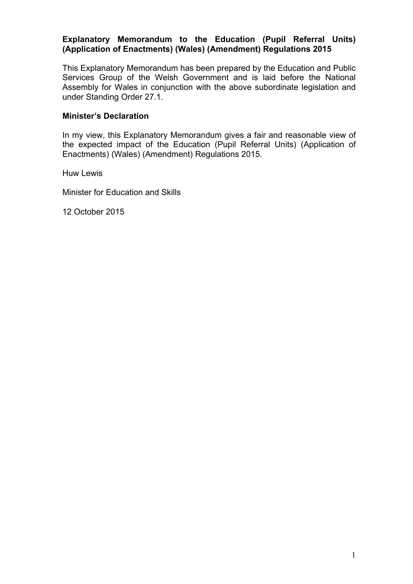## **Explanatory Memorandum to the Education (Pupil Referral Units) (Application of Enactments) (Wales) (Amendment) Regulations 2015**

This Explanatory Memorandum has been prepared by the Education and Public Services Group of the Welsh Government and is laid before the National Assembly for Wales in conjunction with the above subordinate legislation and under Standing Order 27.1.

## **Minister's Declaration**

In my view, this Explanatory Memorandum gives a fair and reasonable view of the expected impact of the Education (Pupil Referral Units) (Application of Enactments) (Wales) (Amendment) Regulations 2015.

Huw Lewis

Minister for Education and Skills

12 October 2015